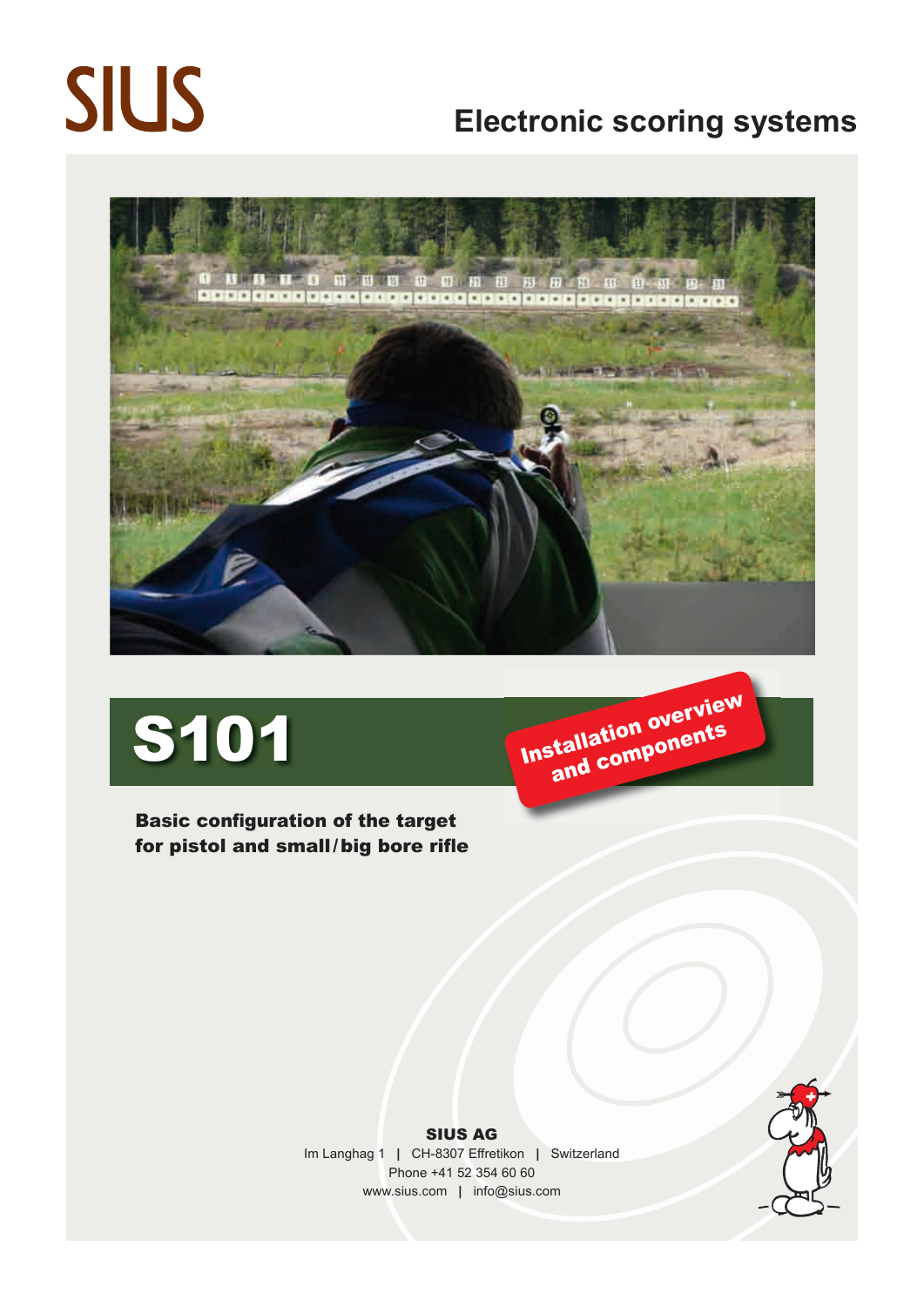# **SIUS**

### **Electronic scoring systems**



Basic configuration of the target for pistol and small/big bore rifle



SIUS AG Im Langhag 1 **|** CH-8307 Effretikon **|** Switzerland Phone +41 52 354 60 60 www.sius.com **|** info@sius.com

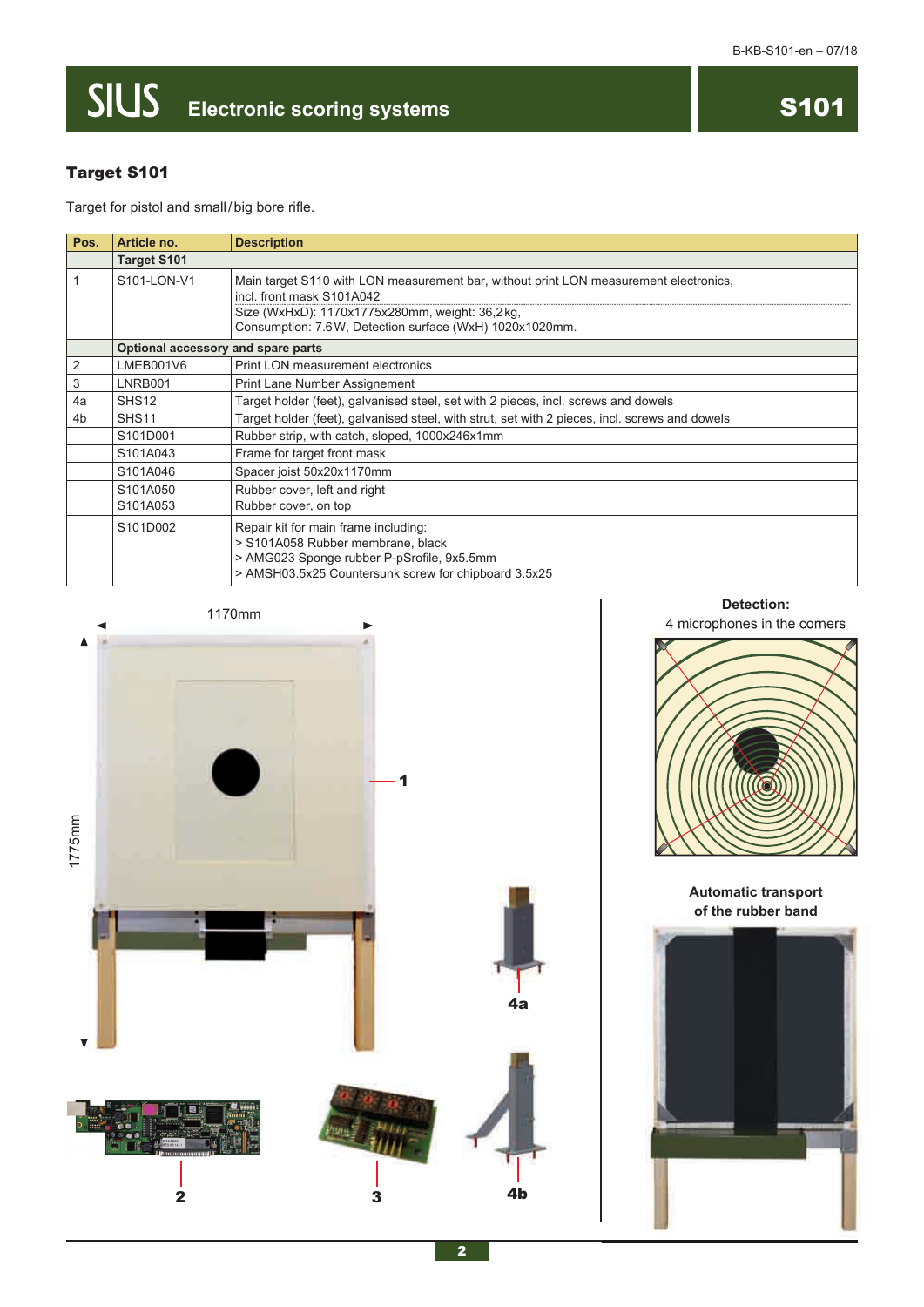## **SIUS** Electronic scoring systems **S101**



### Target S101

Target for pistol and small / big bore rifle.

| Pos.           | Article no.                        | <b>Description</b>                                                                                                                                                                                                               |  |
|----------------|------------------------------------|----------------------------------------------------------------------------------------------------------------------------------------------------------------------------------------------------------------------------------|--|
|                | <b>Target S101</b>                 |                                                                                                                                                                                                                                  |  |
| 1              | S101-LON-V1                        | Main target S110 with LON measurement bar, without print LON measurement electronics,<br>incl. front mask S101A042<br>Size (WxHxD): 1170x1775x280mm, weight: 36,2kg,<br>Consumption: 7.6 W, Detection surface (WxH) 1020x1020mm. |  |
|                | Optional accessory and spare parts |                                                                                                                                                                                                                                  |  |
| 2              | LMEB001V6                          | Print LON measurement electronics                                                                                                                                                                                                |  |
| 3              | LNRB001                            | Print Lane Number Assignement                                                                                                                                                                                                    |  |
| 4a             | SHS <sub>12</sub>                  | Target holder (feet), galvanised steel, set with 2 pieces, incl. screws and dowels                                                                                                                                               |  |
| 4 <sub>b</sub> | SHS <sub>11</sub>                  | Target holder (feet), galvanised steel, with strut, set with 2 pieces, incl. screws and dowels                                                                                                                                   |  |
|                | S101D001                           | Rubber strip, with catch, sloped, 1000x246x1mm                                                                                                                                                                                   |  |
|                | S101A043                           | Frame for target front mask                                                                                                                                                                                                      |  |
|                | S101A046                           | Spacer joist 50x20x1170mm                                                                                                                                                                                                        |  |
|                | S101A050<br>S101A053               | Rubber cover, left and right<br>Rubber cover, on top                                                                                                                                                                             |  |
|                | S101D002                           | Repair kit for main frame including:<br>> S101A058 Rubber membrane, black<br>> AMG023 Sponge rubber P-pSrofile, 9x5.5mm<br>> AMSH03.5x25 Countersunk screw for chipboard 3.5x25                                                  |  |







**Automatic transport of the rubber band**

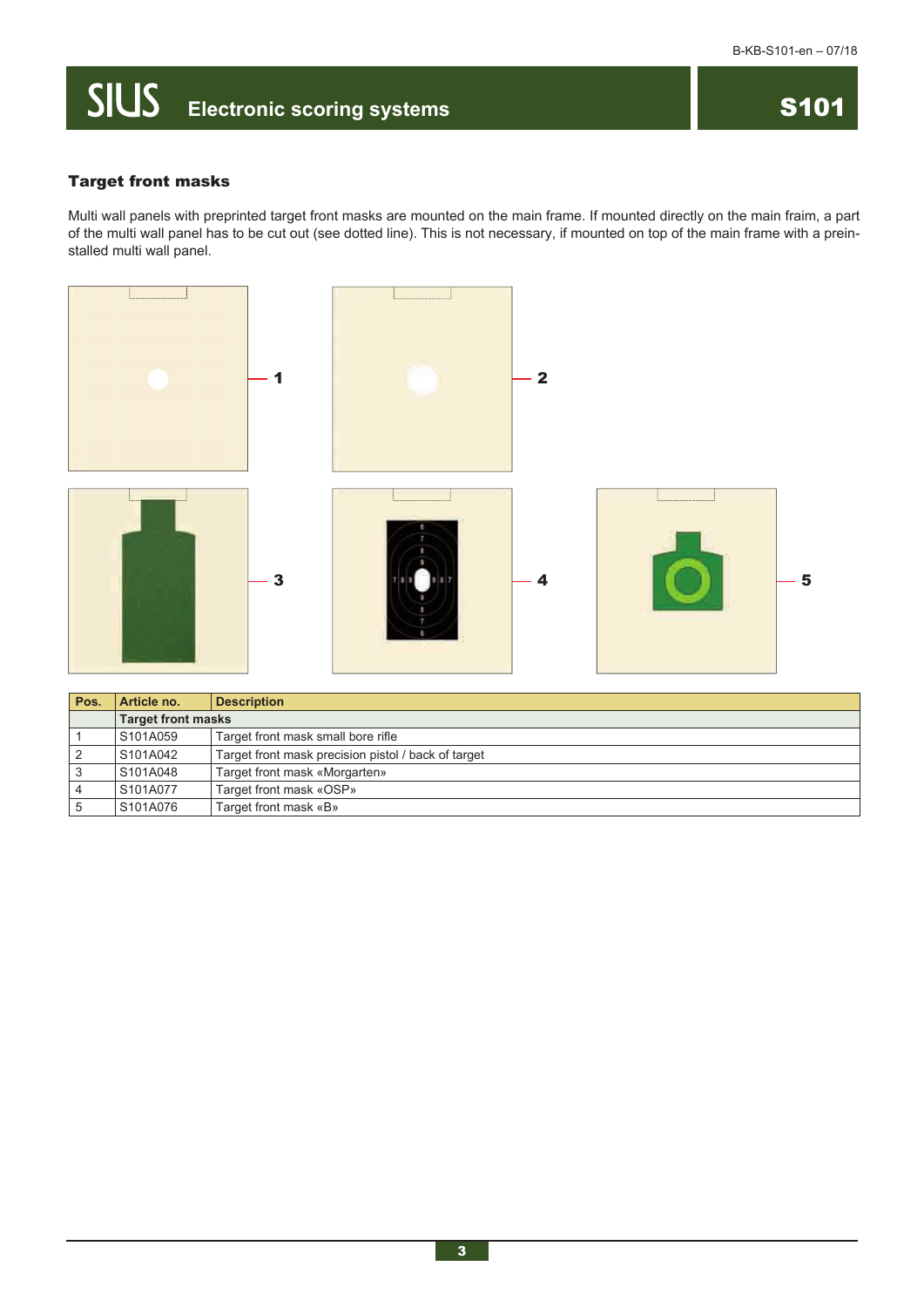### **Electronic scoring systems**

#### Target front masks

Multi wall panels with preprinted target front masks are mounted on the main frame. If mounted directly on the main fraim, a part of the multi wall panel has to be cut out (see dotted line). This is not necessary, if mounted on top of the main frame with a preinstalled multi wall panel.



| Pos. | Article no.               | <b>Description</b>                                  |  |
|------|---------------------------|-----------------------------------------------------|--|
|      | <b>Target front masks</b> |                                                     |  |
|      | S101A059                  | Target front mask small bore rifle                  |  |
|      | S101A042                  | Target front mask precision pistol / back of target |  |
|      | S101A048                  | Target front mask «Morgarten»                       |  |
|      | S101A077                  | Target front mask «OSP»                             |  |
|      | S101A076                  | Target front mask «B»                               |  |